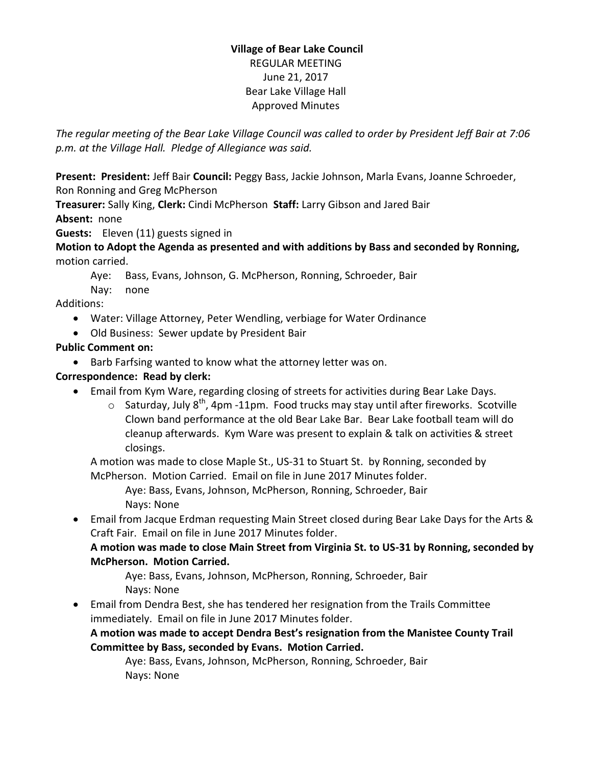# **Village of Bear Lake Council** REGULAR MEETING June 21, 2017 Bear Lake Village Hall Approved Minutes

*The regular meeting of the Bear Lake Village Council was called to order by President Jeff Bair at 7:06 p.m. at the Village Hall. Pledge of Allegiance was said.*

**Present: President:** Jeff Bair **Council:** Peggy Bass, Jackie Johnson, Marla Evans, Joanne Schroeder, Ron Ronning and Greg McPherson

**Treasurer:** Sally King, **Clerk:** Cindi McPherson **Staff:** Larry Gibson and Jared Bair **Absent:** none

**Guests:** Eleven (11) guests signed in

**Motion to Adopt the Agenda as presented and with additions by Bass and seconded by Ronning,**  motion carried.

Aye: Bass, Evans, Johnson, G. McPherson, Ronning, Schroeder, Bair

Nay: none

Additions:

- Water: Village Attorney, Peter Wendling, verbiage for Water Ordinance
- Old Business: Sewer update by President Bair

## **Public Comment on:**

• Barb Farfsing wanted to know what the attorney letter was on.

# **Correspondence: Read by clerk:**

- Email from Kym Ware, regarding closing of streets for activities during Bear Lake Days.
	- $\circ$  Saturday, July 8<sup>th</sup>, 4pm -11pm. Food trucks may stay until after fireworks. Scotville Clown band performance at the old Bear Lake Bar. Bear Lake football team will do cleanup afterwards. Kym Ware was present to explain & talk on activities & street closings.

A motion was made to close Maple St., US-31 to Stuart St. by Ronning, seconded by McPherson. Motion Carried. Email on file in June 2017 Minutes folder.

Aye: Bass, Evans, Johnson, McPherson, Ronning, Schroeder, Bair Nays: None

 Email from Jacque Erdman requesting Main Street closed during Bear Lake Days for the Arts & Craft Fair. Email on file in June 2017 Minutes folder.

**A motion was made to close Main Street from Virginia St. to US-31 by Ronning, seconded by McPherson. Motion Carried.**

Aye: Bass, Evans, Johnson, McPherson, Ronning, Schroeder, Bair Nays: None

 Email from Dendra Best, she has tendered her resignation from the Trails Committee immediately. Email on file in June 2017 Minutes folder.

**A motion was made to accept Dendra Best's resignation from the Manistee County Trail Committee by Bass, seconded by Evans. Motion Carried.**

Aye: Bass, Evans, Johnson, McPherson, Ronning, Schroeder, Bair Nays: None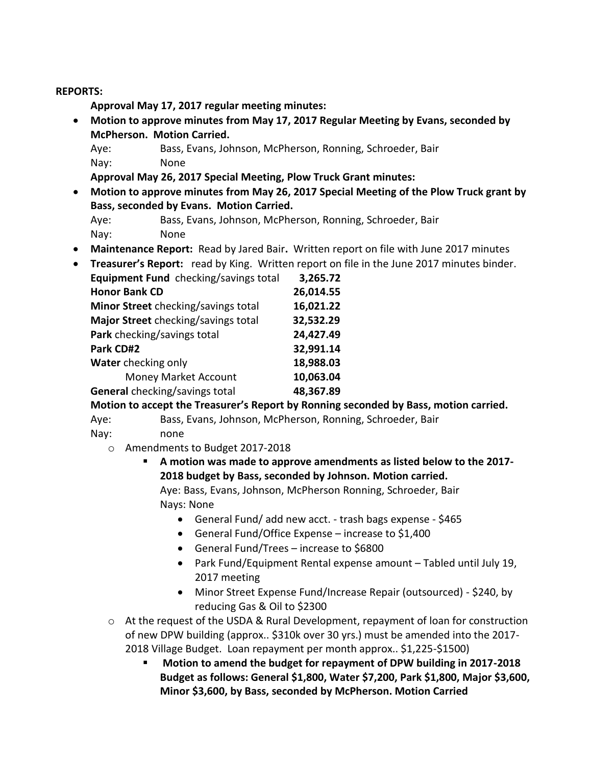#### **REPORTS:**

**Approval May 17, 2017 regular meeting minutes:** 

 **Motion to approve minutes from May 17, 2017 Regular Meeting by Evans, seconded by McPherson. Motion Carried.**

Aye: Bass, Evans, Johnson, McPherson, Ronning, Schroeder, Bair Nay: None

**Approval May 26, 2017 Special Meeting, Plow Truck Grant minutes:** 

- **Motion to approve minutes from May 26, 2017 Special Meeting of the Plow Truck grant by Bass, seconded by Evans. Motion Carried.**
	- Aye: Bass, Evans, Johnson, McPherson, Ronning, Schroeder, Bair Nay: None
- **Maintenance Report:** Read by Jared Bair**.** Written report on file with June 2017 minutes
- **Treasurer's Report:** read by King. Written report on file in the June 2017 minutes binder.

| Equipment Fund checking/savings total | 3,265.72  |
|---------------------------------------|-----------|
| <b>Honor Bank CD</b>                  | 26,014.55 |
| Minor Street checking/savings total   | 16,021.22 |
| Major Street checking/savings total   | 32,532.29 |
| Park checking/savings total           | 24,427.49 |
| Park CD#2                             | 32,991.14 |
| Water checking only                   | 18,988.03 |
| <b>Money Market Account</b>           | 10,063.04 |
| General checking/savings total        | 48,367.89 |

**Motion to accept the Treasurer's Report by Ronning seconded by Bass, motion carried.**

Aye: Bass, Evans, Johnson, McPherson, Ronning, Schroeder, Bair

- Nay: none
	- o Amendments to Budget 2017-2018
		- **A motion was made to approve amendments as listed below to the 2017- 2018 budget by Bass, seconded by Johnson. Motion carried.**

Aye: Bass, Evans, Johnson, McPherson Ronning, Schroeder, Bair Nays: None

- General Fund/ add new acct. trash bags expense \$465
- General Fund/Office Expense increase to \$1,400
- General Fund/Trees increase to \$6800
- Park Fund/Equipment Rental expense amount Tabled until July 19, 2017 meeting
- Minor Street Expense Fund/Increase Repair (outsourced) \$240, by reducing Gas & Oil to \$2300
- o At the request of the USDA & Rural Development, repayment of loan for construction of new DPW building (approx.. \$310k over 30 yrs.) must be amended into the 2017- 2018 Village Budget. Loan repayment per month approx.. \$1,225-\$1500)
	- **Motion to amend the budget for repayment of DPW building in 2017-2018 Budget as follows: General \$1,800, Water \$7,200, Park \$1,800, Major \$3,600, Minor \$3,600, by Bass, seconded by McPherson. Motion Carried**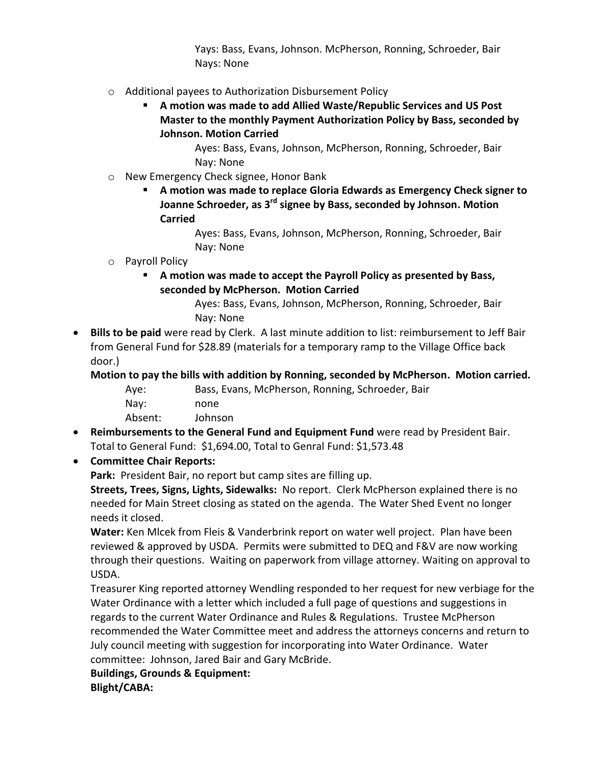Yays: Bass, Evans, Johnson. McPherson, Ronning, Schroeder, Bair Nays: None

- o Additional payees to Authorization Disbursement Policy
	- **A motion was made to add Allied Waste/Republic Services and US Post Master to the monthly Payment Authorization Policy by Bass, seconded by Johnson. Motion Carried**

Ayes: Bass, Evans, Johnson, McPherson, Ronning, Schroeder, Bair Nay: None

- o New Emergency Check signee, Honor Bank
	- **A motion was made to replace Gloria Edwards as Emergency Check signer to Joanne Schroeder, as 3rd signee by Bass, seconded by Johnson. Motion Carried**

Ayes: Bass, Evans, Johnson, McPherson, Ronning, Schroeder, Bair Nay: None

## o Payroll Policy

 **A motion was made to accept the Payroll Policy as presented by Bass, seconded by McPherson. Motion Carried** 

> Ayes: Bass, Evans, Johnson, McPherson, Ronning, Schroeder, Bair Nay: None

 **Bills to be paid** were read by Clerk. A last minute addition to list: reimbursement to Jeff Bair from General Fund for \$28.89 (materials for a temporary ramp to the Village Office back door.)

**Motion to pay the bills with addition by Ronning, seconded by McPherson. Motion carried.**

Aye: Bass, Evans, McPherson, Ronning, Schroeder, Bair Nay: none Absent: Johnson

 **Reimbursements to the General Fund and Equipment Fund** were read by President Bair. Total to General Fund: \$1,694.00, Total to Genral Fund: \$1,573.48

## **Committee Chair Reports:**

**Park:** President Bair, no report but camp sites are filling up.

**Streets, Trees, Signs, Lights, Sidewalks:** No report. Clerk McPherson explained there is no needed for Main Street closing as stated on the agenda. The Water Shed Event no longer needs it closed.

**Water:** Ken Mlcek from Fleis & Vanderbrink report on water well project. Plan have been reviewed & approved by USDA. Permits were submitted to DEQ and F&V are now working through their questions. Waiting on paperwork from village attorney. Waiting on approval to USDA.

Treasurer King reported attorney Wendling responded to her request for new verbiage for the Water Ordinance with a letter which included a full page of questions and suggestions in regards to the current Water Ordinance and Rules & Regulations. Trustee McPherson recommended the Water Committee meet and address the attorneys concerns and return to July council meeting with suggestion for incorporating into Water Ordinance. Water committee: Johnson, Jared Bair and Gary McBride.

**Buildings, Grounds & Equipment: Blight/CABA:**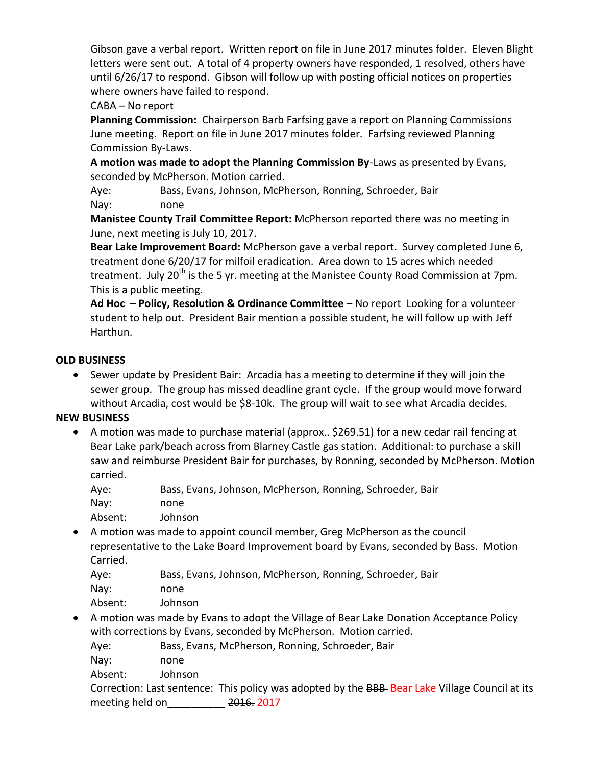Gibson gave a verbal report. Written report on file in June 2017 minutes folder. Eleven Blight letters were sent out. A total of 4 property owners have responded, 1 resolved, others have until 6/26/17 to respond. Gibson will follow up with posting official notices on properties where owners have failed to respond.

# CABA – No report

**Planning Commission:** Chairperson Barb Farfsing gave a report on Planning Commissions June meeting. Report on file in June 2017 minutes folder. Farfsing reviewed Planning Commission By-Laws.

**A motion was made to adopt the Planning Commission By**-Laws as presented by Evans, seconded by McPherson. Motion carried.

Aye: Bass, Evans, Johnson, McPherson, Ronning, Schroeder, Bair Nay: none

**Manistee County Trail Committee Report:** McPherson reported there was no meeting in June, next meeting is July 10, 2017.

**Bear Lake Improvement Board:** McPherson gave a verbal report. Survey completed June 6, treatment done 6/20/17 for milfoil eradication. Area down to 15 acres which needed treatment. July 20<sup>th</sup> is the 5 yr. meeting at the Manistee County Road Commission at 7pm. This is a public meeting.

**Ad Hoc – Policy, Resolution & Ordinance Committee** – No report Looking for a volunteer student to help out. President Bair mention a possible student, he will follow up with Jeff Harthun.

## **OLD BUSINESS**

 Sewer update by President Bair: Arcadia has a meeting to determine if they will join the sewer group. The group has missed deadline grant cycle. If the group would move forward without Arcadia, cost would be \$8-10k. The group will wait to see what Arcadia decides.

## **NEW BUSINESS**

- A motion was made to purchase material (approx.. \$269.51) for a new cedar rail fencing at Bear Lake park/beach across from Blarney Castle gas station. Additional: to purchase a skill saw and reimburse President Bair for purchases, by Ronning, seconded by McPherson. Motion carried.
	- Aye: Bass, Evans, Johnson, McPherson, Ronning, Schroeder, Bair Nay: none Absent: Johnson
- A motion was made to appoint council member, Greg McPherson as the council representative to the Lake Board Improvement board by Evans, seconded by Bass. Motion Carried.
	- Aye: Bass, Evans, Johnson, McPherson, Ronning, Schroeder, Bair Nay: none
	- Absent: Johnson
- A motion was made by Evans to adopt the Village of Bear Lake Donation Acceptance Policy with corrections by Evans, seconded by McPherson. Motion carried.

Aye: Bass, Evans, McPherson, Ronning, Schroeder, Bair

- Nay: none
- Absent: Johnson

Correction: Last sentence: This policy was adopted by the BBB- Bear Lake Village Council at its meeting held on and 2016. 2017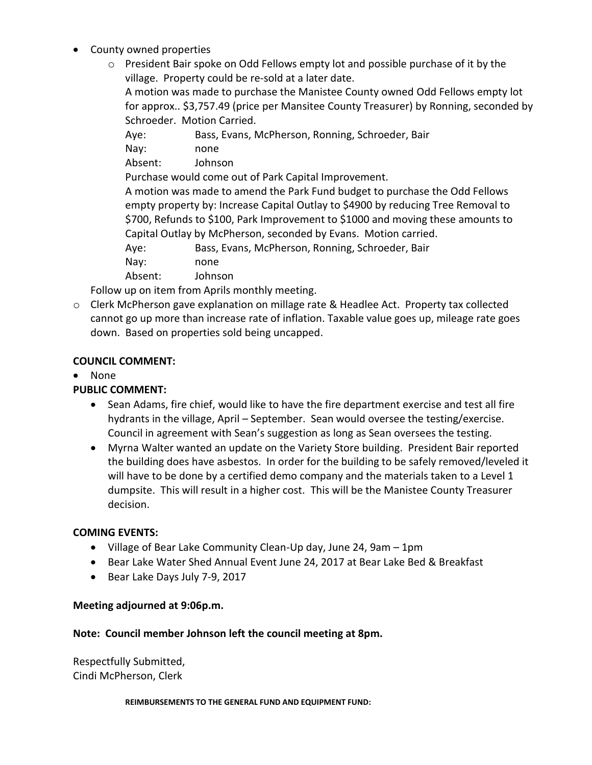- County owned properties
	- o President Bair spoke on Odd Fellows empty lot and possible purchase of it by the village. Property could be re-sold at a later date.

A motion was made to purchase the Manistee County owned Odd Fellows empty lot for approx.. \$3,757.49 (price per Mansitee County Treasurer) by Ronning, seconded by Schroeder. Motion Carried.

Aye: Bass, Evans, McPherson, Ronning, Schroeder, Bair Nay: none Absent: Johnson Purchase would come out of Park Capital Improvement. A motion was made to amend the Park Fund budget to purchase the Odd Fellows empty property by: Increase Capital Outlay to \$4900 by reducing Tree Removal to \$700, Refunds to \$100, Park Improvement to \$1000 and moving these amounts to Capital Outlay by McPherson, seconded by Evans. Motion carried. Aye: Bass, Evans, McPherson, Ronning, Schroeder, Bair Nay: none Absent: Johnson

Follow up on item from Aprils monthly meeting.

o Clerk McPherson gave explanation on millage rate & Headlee Act. Property tax collected cannot go up more than increase rate of inflation. Taxable value goes up, mileage rate goes down. Based on properties sold being uncapped.

#### **COUNCIL COMMENT:**

• None

## **PUBLIC COMMENT:**

- Sean Adams, fire chief, would like to have the fire department exercise and test all fire hydrants in the village, April – September. Sean would oversee the testing/exercise. Council in agreement with Sean's suggestion as long as Sean oversees the testing.
- Myrna Walter wanted an update on the Variety Store building. President Bair reported the building does have asbestos. In order for the building to be safely removed/leveled it will have to be done by a certified demo company and the materials taken to a Level 1 dumpsite. This will result in a higher cost. This will be the Manistee County Treasurer decision.

#### **COMING EVENTS:**

- Village of Bear Lake Community Clean-Up day, June 24, 9am 1pm
- Bear Lake Water Shed Annual Event June 24, 2017 at Bear Lake Bed & Breakfast
- Bear Lake Days July 7-9, 2017

#### **Meeting adjourned at 9:06p.m.**

#### **Note: Council member Johnson left the council meeting at 8pm.**

Respectfully Submitted, Cindi McPherson, Clerk